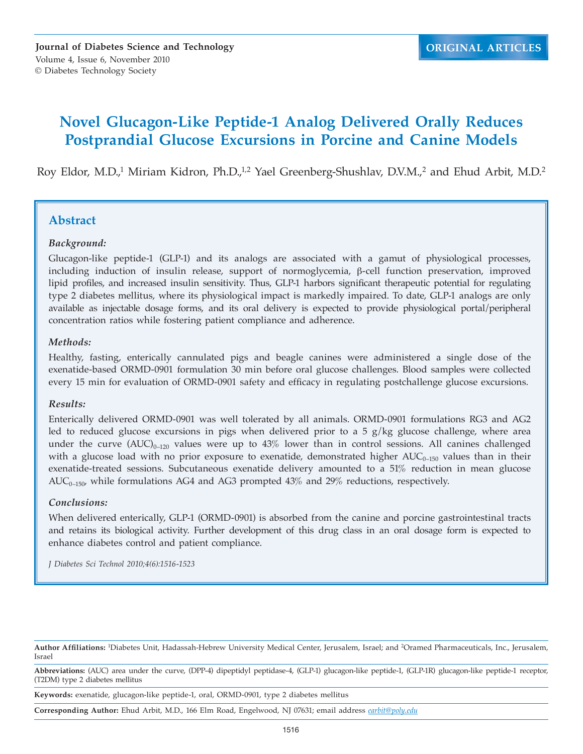# **Novel Glucagon-Like Peptide-1 Analog Delivered Orally Reduces Postprandial Glucose Excursions in Porcine and Canine Models**

Roy Eldor, M.D.,<sup>1</sup> Miriam Kidron, Ph.D.,<sup>1,2</sup> Yael Greenberg-Shushlav, D.V.M.,<sup>2</sup> and Ehud Arbit, M.D.<sup>2</sup>

### **Abstract**

#### *Background:*

Glucagon-like peptide-1 (GLP-1) and its analogs are associated with a gamut of physiological processes, including induction of insulin release, support of normoglycemia, β-cell function preservation, improved lipid profiles, and increased insulin sensitivity. Thus, GLP-1 harbors significant therapeutic potential for regulating type 2 diabetes mellitus, where its physiological impact is markedly impaired. To date, GLP-1 analogs are only available as injectable dosage forms, and its oral delivery is expected to provide physiological portal/peripheral concentration ratios while fostering patient compliance and adherence.

#### *Methods:*

Healthy, fasting, enterically cannulated pigs and beagle canines were administered a single dose of the exenatide-based ORMD-0901 formulation 30 min before oral glucose challenges. Blood samples were collected every 15 min for evaluation of ORMD-0901 safety and efficacy in regulating postchallenge glucose excursions.

#### *Results:*

Enterically delivered ORMD-0901 was well tolerated by all animals. ORMD-0901 formulations RG3 and AG2 led to reduced glucose excursions in pigs when delivered prior to a 5  $g/kg$  glucose challenge, where area under the curve  $(AUC)_{0-120}$  values were up to  $43\%$  lower than in control sessions. All canines challenged with a glucose load with no prior exposure to exenatide, demonstrated higher  $AUC_{0-150}$  values than in their exenatide-treated sessions. Subcutaneous exenatide delivery amounted to a 51% reduction in mean glucose  $AUC_{0-150}$ , while formulations AG4 and AG3 prompted 43% and 29% reductions, respectively.

#### *Conclusions:*

When delivered enterically, GLP-1 (ORMD-0901) is absorbed from the canine and porcine gastrointestinal tracts and retains its biological activity. Further development of this drug class in an oral dosage form is expected to enhance diabetes control and patient compliance.

*J Diabetes Sci Technol 2010;4(6):1516-1523*

**Author Affiliations:** <sup>1</sup>Diabetes Unit, Hadassah-Hebrew University Medical Center, Jerusalem, Israel; and <sup>2</sup>Oramed Pharmaceuticals, Inc., Jerusalem, Israel

**Abbreviations:** (AUC) area under the curve, (DPP-4) dipeptidyl peptidase-4, (GLP-1) glucagon-like peptide-1, (GLP-1R) glucagon-like peptide-1 receptor, (T2DM) type 2 diabetes mellitus

**Keywords:** exenatide, glucagon-like peptide-1, oral, ORMD-0901, type 2 diabetes mellitus

**Corresponding Author:** Ehud Arbit, M.D., 166 Elm Road, Engelwood, NJ 07631; email address *earbit@poly.edu*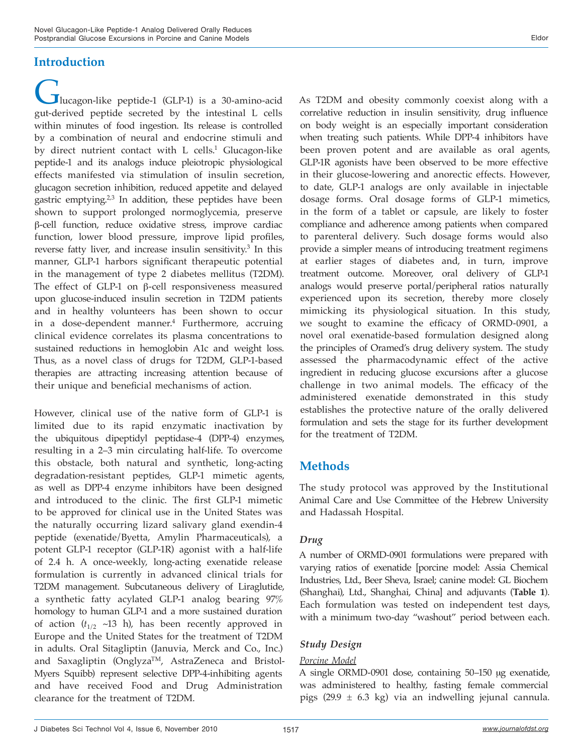## **Introduction**

Iucagon-like peptide-1 (GLP-1) is a 30-amino-acid gut-derived peptide secreted by the intestinal L cells within minutes of food ingestion. Its release is controlled by a combination of neural and endocrine stimuli and by direct nutrient contact with L cells.<sup>1</sup> Glucagon-like peptide-1 and its analogs induce pleiotropic physiological effects manifested via stimulation of insulin secretion, glucagon secretion inhibition, reduced appetite and delayed gastric emptying. $2,3$  In addition, these peptides have been shown to support prolonged normoglycemia, preserve β-cell function, reduce oxidative stress, improve cardiac function, lower blood pressure, improve lipid profiles, reverse fatty liver, and increase insulin sensitivity.<sup>3</sup> In this manner, GLP-1 harbors significant therapeutic potential in the management of type 2 diabetes mellitus (T2DM). The effect of GLP-1 on β-cell responsiveness measured upon glucose-induced insulin secretion in T2DM patients and in healthy volunteers has been shown to occur in a dose-dependent manner.<sup>4</sup> Furthermore, accruing clinical evidence correlates its plasma concentrations to sustained reductions in hemoglobin A1c and weight loss. Thus, as a novel class of drugs for T2DM, GLP-1-based therapies are attracting increasing attention because of their unique and beneficial mechanisms of action.

However, clinical use of the native form of GLP-1 is limited due to its rapid enzymatic inactivation by the ubiquitous dipeptidyl peptidase-4 (DPP-4) enzymes, resulting in a 2–3 min circulating half-life. To overcome this obstacle, both natural and synthetic, long-acting degradation-resistant peptides, GLP-1 mimetic agents, as well as DPP-4 enzyme inhibitors have been designed and introduced to the clinic. The first GLP-1 mimetic to be approved for clinical use in the United States was the naturally occurring lizard salivary gland exendin-4 peptide (exenatide/Byetta, Amylin Pharmaceuticals), a potent GLP-1 receptor (GLP-1R) agonist with a half-life of 2.4 h. A once-weekly, long-acting exenatide release formulation is currently in advanced clinical trials for T2DM management. Subcutaneous delivery of Liraglutide, a synthetic fatty acylated GLP-1 analog bearing 97% homology to human GLP-1 and a more sustained duration of action  $(t_{1/2}$  ~13 h), has been recently approved in Europe and the United States for the treatment of T2DM in adults. Oral Sitagliptin (Januvia, Merck and Co., Inc.) and Saxagliptin (Onglyza<sup>TM</sup>, AstraZeneca and Bristol-Myers Squibb) represent selective DPP-4-inhibiting agents and have received Food and Drug Administration clearance for the treatment of T2DM.

As T2DM and obesity commonly coexist along with a correlative reduction in insulin sensitivity, drug influence on body weight is an especially important consideration when treating such patients. While DPP-4 inhibitors have been proven potent and are available as oral agents, GLP-1R agonists have been observed to be more effective in their glucose-lowering and anorectic effects. However, to date, GLP-1 analogs are only available in injectable dosage forms. Oral dosage forms of GLP-1 mimetics, in the form of a tablet or capsule, are likely to foster compliance and adherence among patients when compared to parenteral delivery. Such dosage forms would also provide a simpler means of introducing treatment regimens at earlier stages of diabetes and, in turn, improve treatment outcome. Moreover, oral delivery of GLP-1 analogs would preserve portal/peripheral ratios naturally experienced upon its secretion, thereby more closely mimicking its physiological situation. In this study, we sought to examine the efficacy of ORMD-0901, a novel oral exenatide-based formulation designed along the principles of Oramed's drug delivery system. The study assessed the pharmacodynamic effect of the active ingredient in reducing glucose excursions after a glucose challenge in two animal models. The efficacy of the administered exenatide demonstrated in this study establishes the protective nature of the orally delivered formulation and sets the stage for its further development for the treatment of T2DM.

## **Methods**

The study protocol was approved by the Institutional Animal Care and Use Committee of the Hebrew University and Hadassah Hospital.

### *Drug*

A number of ORMD-0901 formulations were prepared with varying ratios of exenatide [porcine model: Assia Chemical Industries, Ltd., Beer Sheva, Israel; canine model: GL Biochem (Shanghai), Ltd., Shanghai, China] and adjuvants (**Table 1**). Each formulation was tested on independent test days, with a minimum two-day "washout" period between each.

### *Study Design*

### *Porcine Model*

A single ORMD-0901 dose, containing 50–150 µg exenatide, was administered to healthy, fasting female commercial pigs (29.9 ± 6.3 kg) via an indwelling jejunal cannula.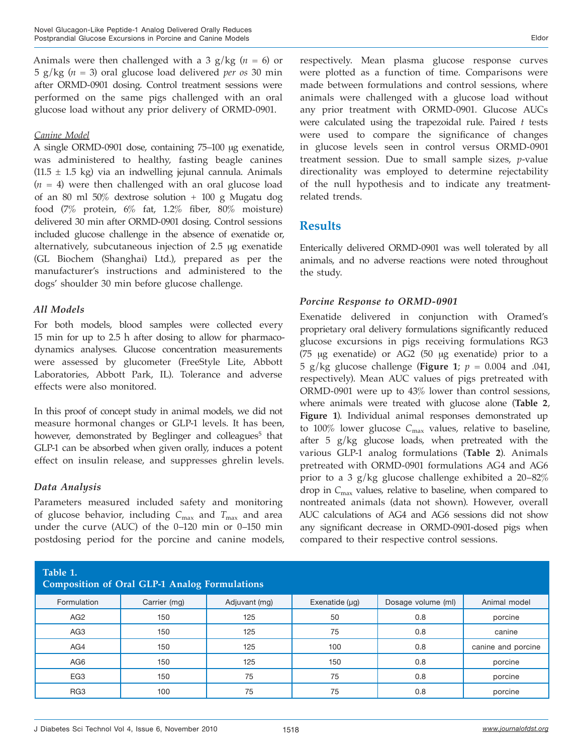Animals were then challenged with a 3 g/kg (*n =* 6) or 5 g/kg (*n =* 3) oral glucose load delivered *per os* 30 min after ORMD-0901 dosing. Control treatment sessions were performed on the same pigs challenged with an oral glucose load without any prior delivery of ORMD-0901.

#### *Canine Model*

A single ORMD-0901 dose, containing 75–100 µg exenatide, was administered to healthy, fasting beagle canines  $(11.5 \pm 1.5 \text{ kg})$  via an indwelling jejunal cannula. Animals (*n =* 4) were then challenged with an oral glucose load of an 80 ml 50% dextrose solution + 100 g Mugatu dog food (7% protein, 6% fat, 1.2% fiber, 80% moisture) delivered 30 min after ORMD-0901 dosing. Control sessions included glucose challenge in the absence of exenatide or, alternatively, subcutaneous injection of 2.5 µg exenatide (GL Biochem (Shanghai) Ltd.), prepared as per the manufacturer's instructions and administered to the dogs' shoulder 30 min before glucose challenge.

#### *All Models*

For both models, blood samples were collected every 15 min for up to 2.5 h after dosing to allow for pharmacodynamics analyses. Glucose concentration measurements were assessed by glucometer (FreeStyle Lite, Abbott Laboratories, Abbott Park, IL). Tolerance and adverse effects were also monitored.

In this proof of concept study in animal models, we did not measure hormonal changes or GLP-1 levels. It has been, however, demonstrated by Beglinger and colleagues<sup>5</sup> that GLP-1 can be absorbed when given orally, induces a potent effect on insulin release, and suppresses ghrelin levels.

### *Data Analysis*

Parameters measured included safety and monitoring of glucose behavior, including *C*max and *T*max and area under the curve (AUC) of the 0–120 min or 0–150 min postdosing period for the porcine and canine models, were plotted as a function of time. Comparisons were made between formulations and control sessions, where animals were challenged with a glucose load without any prior treatment with ORMD-0901. Glucose AUCs were calculated using the trapezoidal rule. Paired *t* tests were used to compare the significance of changes in glucose levels seen in control versus ORMD-0901 treatment session. Due to small sample sizes, *p*-value directionality was employed to determine rejectability of the null hypothesis and to indicate any treatmentrelated trends.

### **Results**

Enterically delivered ORMD-0901 was well tolerated by all animals, and no adverse reactions were noted throughout the study.

### *Porcine Response to ORMD-0901*

Exenatide delivered in conjunction with Oramed's proprietary oral delivery formulations significantly reduced glucose excursions in pigs receiving formulations RG3 (75 µg exenatide) or AG2 (50 µg exenatide) prior to a 5 g/kg glucose challenge (**Figure 1**; *p =* 0.004 and .041, respectively). Mean AUC values of pigs pretreated with ORMD-0901 were up to 43% lower than control sessions, where animals were treated with glucose alone (**Table 2**, **Figure 1**). Individual animal responses demonstrated up to 100% lower glucose  $C_{\text{max}}$  values, relative to baseline, after 5 g/kg glucose loads, when pretreated with the various GLP-1 analog formulations (**Table 2**). Animals pretreated with ORMD-0901 formulations AG4 and AG6 prior to a 3 g/kg glucose challenge exhibited a 20–82% drop in *C*max values, relative to baseline, when compared to nontreated animals (data not shown). However, overall AUC calculations of AG4 and AG6 sessions did not show any significant decrease in ORMD-0901-dosed pigs when compared to their respective control sessions.

| Table 1.<br><b>Composition of Oral GLP-1 Analog Formulations</b> |              |               |                     |                    |                    |  |  |  |  |  |  |
|------------------------------------------------------------------|--------------|---------------|---------------------|--------------------|--------------------|--|--|--|--|--|--|
| Formulation                                                      | Carrier (mg) | Adjuvant (mg) | Exenatide $(\mu g)$ | Dosage volume (ml) | Animal model       |  |  |  |  |  |  |
| AG <sub>2</sub>                                                  | 150          | 125           | 50                  | 0.8                | porcine            |  |  |  |  |  |  |
| AG <sub>3</sub>                                                  | 150          | 125           | 75                  | 0.8                | canine             |  |  |  |  |  |  |
| AG4                                                              | 150          | 125           | 100                 | 0.8                | canine and porcine |  |  |  |  |  |  |
| AG6                                                              | 150          | 125           | 150                 | 0.8                | porcine            |  |  |  |  |  |  |
| EG <sub>3</sub>                                                  | 150          | 75            | 75                  | 0.8                | porcine            |  |  |  |  |  |  |
| RG <sub>3</sub>                                                  | 100          | 75            | 75                  | 0.8                | porcine            |  |  |  |  |  |  |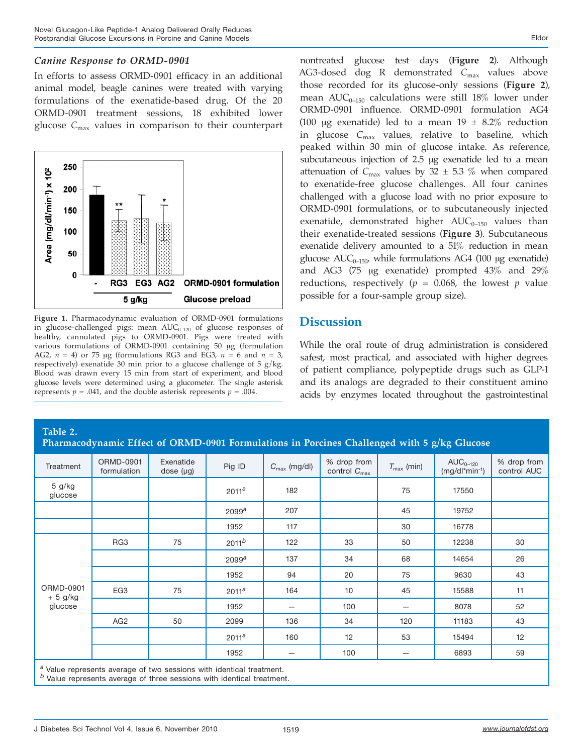#### *Canine Response to ORMD-0901*

In efforts to assess ORMD-0901 efficacy in an additional animal model, beagle canines were treated with varying formulations of the exenatide-based drug. Of the 20 ORMD-0901 treatment sessions, 18 exhibited lower glucose *C*max values in comparison to their counterpart



**Figure 1.** Pharmacodynamic evaluation of ORMD-0901 formulations in glucose-challenged pigs: mean  $\text{AUC}_{0-120}$  of glucose responses of healthy, cannulated pigs to ORMD-0901. Pigs were treated with various formulations of ORMD-0901 containing 50 µg (formulation AG2,  $n = 4$ ) or 75 µg (formulations RG3 and EG3,  $n = 6$  and  $n = 3$ , respectively) exenatide 30 min prior to a glucose challenge of 5  $g/kg$ . Blood was drawn every 15 min from start of experiment, and blood glucose levels were determined using a glucometer. The single asterisk represents  $p = .041$ , and the double asterisk represents  $p = .004$ .

nontreated glucose test days (**Figure 2**). Although AG3-dosed dog R demonstrated *C*max values above those recorded for its glucose-only sessions (**Figure 2**), mean  $AUC_{0-150}$  calculations were still 18% lower under ORMD-0901 influence. ORMD-0901 formulation AG4 (100  $\mu$ g exenatide) led to a mean 19  $\pm$  8.2% reduction in glucose *C*max values, relative to baseline, which peaked within 30 min of glucose intake. As reference, subcutaneous injection of 2.5 µg exenatide led to a mean attenuation of  $C_{\text{max}}$  values by 32  $\pm$  5.3 % when compared to exenatide-free glucose challenges. All four canines challenged with a glucose load with no prior exposure to ORMD-0901 formulations, or to subcutaneously injected exenatide, demonstrated higher  $AUC_{0-150}$  values than their exenatide-treated sessions (**Figure 3**). Subcutaneous exenatide delivery amounted to a 51% reduction in mean glucose  $AUC_{0-150}$ , while formulations AG4 (100 µg exenatide) and AG3 (75 µg exenatide) prompted 43% and 29% reductions, respectively ( $p = 0.068$ , the lowest  $p$  value

### **Discussion**

possible for a four-sample group size).

While the oral route of drug administration is considered safest, most practical, and associated with higher degrees of patient compliance, polypeptide drugs such as GLP-1 and its analogs are degraded to their constituent amino acids by enzymes located throughout the gastrointestinal

| Table 2.<br>Pharmacodynamic Effect of ORMD-0901 Formulations in Porcines Challenged with 5 g/kg Glucose                                                     |                          |                             |                   |                          |                                         |                        |                                      |                            |  |  |
|-------------------------------------------------------------------------------------------------------------------------------------------------------------|--------------------------|-----------------------------|-------------------|--------------------------|-----------------------------------------|------------------------|--------------------------------------|----------------------------|--|--|
| Treatment                                                                                                                                                   | ORMD-0901<br>formulation | Exenatide<br>dose $(\mu g)$ | Pig ID            | $C_{\text{max}}$ (mg/dl) | % drop from<br>control $C_{\text{max}}$ | $T_{\text{max}}$ (min) | $AUC_{0-120}$<br>$(mq/dl^*min^{-1})$ | % drop from<br>control AUC |  |  |
| $5$ g/kg<br>glucose                                                                                                                                         |                          |                             | 2011 <sup>a</sup> | 182                      |                                         | 75                     | 17550                                |                            |  |  |
|                                                                                                                                                             |                          |                             | 2099 <sup>a</sup> | 207                      |                                         | 45                     | 19752                                |                            |  |  |
|                                                                                                                                                             |                          |                             | 1952              | 117                      |                                         | 30                     | 16778                                |                            |  |  |
| ORMD-0901<br>$+5$ g/kg<br>glucose                                                                                                                           | RG <sub>3</sub>          | 75                          | 2011 <sup>b</sup> | 122                      | 33                                      | 50                     | 12238                                | 30                         |  |  |
|                                                                                                                                                             |                          |                             | 2099 <sup>a</sup> | 137                      | 34                                      | 68                     | 14654                                | 26                         |  |  |
|                                                                                                                                                             |                          |                             | 1952              | 94                       | 20                                      | 75                     | 9630                                 | 43                         |  |  |
|                                                                                                                                                             | EG <sub>3</sub>          | 75                          | 2011 <sup>a</sup> | 164                      | 10                                      | 45                     | 15588                                | 11                         |  |  |
|                                                                                                                                                             |                          |                             | 1952              |                          | 100                                     |                        | 8078                                 | 52                         |  |  |
|                                                                                                                                                             | AG <sub>2</sub>          | 50                          | 2099              | 136                      | 34                                      | 120                    | 11183                                | 43                         |  |  |
|                                                                                                                                                             |                          |                             | 2011 <sup>a</sup> | 160                      | 12                                      | 53                     | 15494                                | 12                         |  |  |
|                                                                                                                                                             |                          |                             | 1952              |                          | 100                                     | –                      | 6893                                 | 59                         |  |  |
| <sup>a</sup> Value represents average of two sessions with identical treatment.<br>$b$ Value represents average of three sessions with identical treatment. |                          |                             |                   |                          |                                         |                        |                                      |                            |  |  |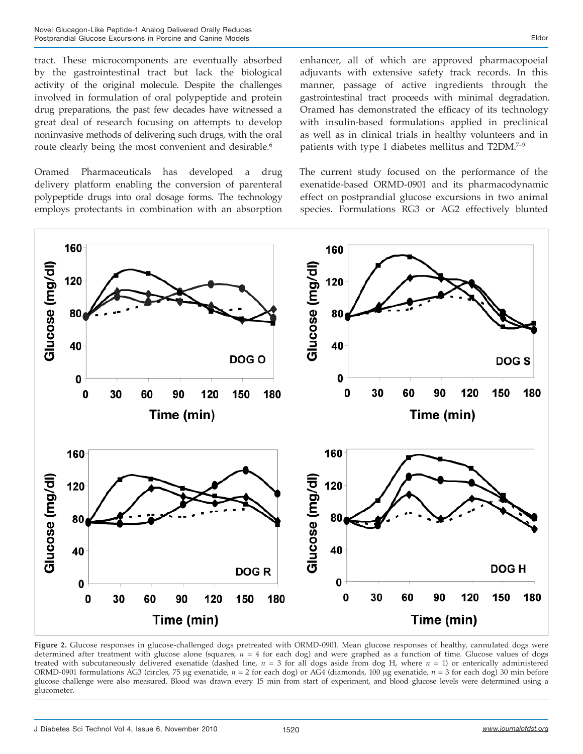tract. These microcomponents are eventually absorbed by the gastrointestinal tract but lack the biological activity of the original molecule. Despite the challenges involved in formulation of oral polypeptide and protein drug preparations, the past few decades have witnessed a great deal of research focusing on attempts to develop noninvasive methods of delivering such drugs, with the oral route clearly being the most convenient and desirable.<sup>6</sup>

Oramed Pharmaceuticals has developed a drug delivery platform enabling the conversion of parenteral polypeptide drugs into oral dosage forms. The technology employs protectants in combination with an absorption

enhancer, all of which are approved pharmacopoeial adjuvants with extensive safety track records. In this manner, passage of active ingredients through the gastrointestinal tract proceeds with minimal degradation. Oramed has demonstrated the efficacy of its technology with insulin-based formulations applied in preclinical as well as in clinical trials in healthy volunteers and in patients with type 1 diabetes mellitus and T2DM.<sup>7-9</sup>

The current study focused on the performance of the exenatide-based ORMD-0901 and its pharmacodynamic effect on postprandial glucose excursions in two animal species. Formulations RG3 or AG2 effectively blunted



**Figure 2.** Glucose responses in glucose-challenged dogs pretreated with ORMD-0901. Mean glucose responses of healthy, cannulated dogs were determined after treatment with glucose alone (squares, *n* = 4 for each dog) and were graphed as a function of time. Glucose values of dogs treated with subcutaneously delivered exenatide (dashed line,  $n = 3$  for all dogs aside from dog H, where  $n = 1$ ) or enterically administered ORMD-0901 formulations AG3 (circles, 75 µg exenatide, *n* = 2 for each dog) or AG4 (diamonds, 100 µg exenatide, *n* = 3 for each dog) 30 min before glucose challenge were also measured. Blood was drawn every 15 min from start of experiment, and blood glucose levels were determined using a glucometer.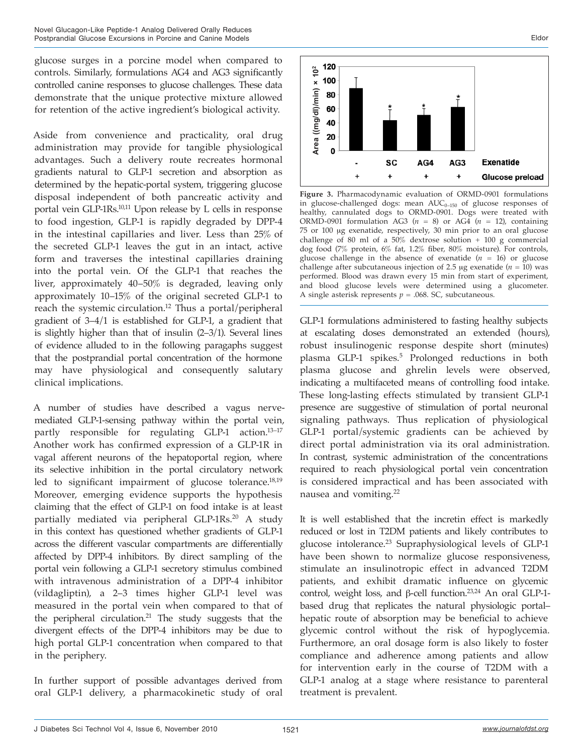glucose surges in a porcine model when compared to controls. Similarly, formulations AG4 and AG3 significantly controlled canine responses to glucose challenges. These data demonstrate that the unique protective mixture allowed for retention of the active ingredient's biological activity.

Aside from convenience and practicality, oral drug administration may provide for tangible physiological advantages. Such a delivery route recreates hormonal gradients natural to GLP-1 secretion and absorption as determined by the hepatic-portal system, triggering glucose disposal independent of both pancreatic activity and portal vein GLP-1Rs.10,11 Upon release by L cells in response to food ingestion, GLP-1 is rapidly degraded by DPP-4 in the intestinal capillaries and liver. Less than 25% of the secreted GLP-1 leaves the gut in an intact, active form and traverses the intestinal capillaries draining into the portal vein. Of the GLP-1 that reaches the liver, approximately 40–50% is degraded, leaving only approximately 10–15% of the original secreted GLP-1 to reach the systemic circulation.<sup>12</sup> Thus a portal/peripheral gradient of 3–4/1 is established for GLP-1, a gradient that is slightly higher than that of insulin (2–3/1). Several lines of evidence alluded to in the following paragaphs suggest that the postprandial portal concentration of the hormone may have physiological and consequently salutary clinical implications.

A number of studies have described a vagus nervemediated GLP-1-sensing pathway within the portal vein, partly responsible for regulating GLP-1 action.<sup>13-17</sup> Another work has confirmed expression of a GLP-1R in vagal afferent neurons of the hepatoportal region, where its selective inhibition in the portal circulatory network led to significant impairment of glucose tolerance.<sup>18,19</sup> Moreover, emerging evidence supports the hypothesis claiming that the effect of GLP-1 on food intake is at least partially mediated via peripheral GLP-1Rs.<sup>20</sup> A study in this context has questioned whether gradients of GLP-1 across the different vascular compartments are differentially affected by DPP-4 inhibitors. By direct sampling of the portal vein following a GLP-1 secretory stimulus combined with intravenous administration of a DPP-4 inhibitor (vildagliptin), a 2–3 times higher GLP-1 level was measured in the portal vein when compared to that of the peripheral circulation.<sup>21</sup> The study suggests that the divergent effects of the DPP-4 inhibitors may be due to high portal GLP-1 concentration when compared to that in the periphery.

In further support of possible advantages derived from oral GLP-1 delivery, a pharmacokinetic study of oral



**Figure 3.** Pharmacodynamic evaluation of ORMD-0901 formulations in glucose-challenged dogs: mean  $AUC_{0-150}$  of glucose responses of healthy, cannulated dogs to ORMD-0901. Dogs were treated with ORMD-0901 formulation AG3  $(n = 8)$  or AG4  $(n = 12)$ , containing 75 or 100 µg exenatide, respectively, 30 min prior to an oral glucose challenge of 80 ml of a 50% dextrose solution + 100 g commercial dog food (7% protein, 6% fat, 1.2% fiber, 80% moisture). For controls, glucose challenge in the absence of exenatide  $(n = 16)$  or glucose challenge after subcutaneous injection of 2.5  $\mu$ g exenatide ( $n = 10$ ) was performed. Blood was drawn every 15 min from start of experiment, and blood glucose levels were determined using a glucometer. A single asterisk represents  $p = .068$ . SC, subcutaneous.

GLP-1 formulations administered to fasting healthy subjects at escalating doses demonstrated an extended (hours), robust insulinogenic response despite short (minutes) plasma GLP-1 spikes.<sup>5</sup> Prolonged reductions in both plasma glucose and ghrelin levels were observed, indicating a multifaceted means of controlling food intake. These long-lasting effects stimulated by transient GLP-1 presence are suggestive of stimulation of portal neuronal signaling pathways. Thus replication of physiological GLP-1 portal/systemic gradients can be achieved by direct portal administration via its oral administration. In contrast, systemic administration of the concentrations required to reach physiological portal vein concentration is considered impractical and has been associated with nausea and vomiting.<sup>22</sup>

**Example 188**<br> **Example 188**<br> **Example 188**<br> **Example 38**<br> **Example 38**<br> **Example 48**<br> **Example 20**<br> **Example 20**<br> **Example 188**<br> **Crigure 3.** Pharmacodynam<br>
challenge dogs<br>
challenge of 80 ml of a 51<br>
challenge of 80 ml o It is well established that the incretin effect is markedly reduced or lost in T2DM patients and likely contributes to glucose intolerance.<sup>23</sup> Supraphysiological levels of GLP-1 have been shown to normalize glucose responsiveness, stimulate an insulinotropic effect in advanced T2DM patients, and exhibit dramatic influence on glycemic control, weight loss, and β-cell function.23,24 An oral GLP-1 based drug that replicates the natural physiologic portal– hepatic route of absorption may be beneficial to achieve glycemic control without the risk of hypoglycemia. Furthermore, an oral dosage form is also likely to foster compliance and adherence among patients and allow for intervention early in the course of T2DM with a GLP-1 analog at a stage where resistance to parenteral treatment is prevalent.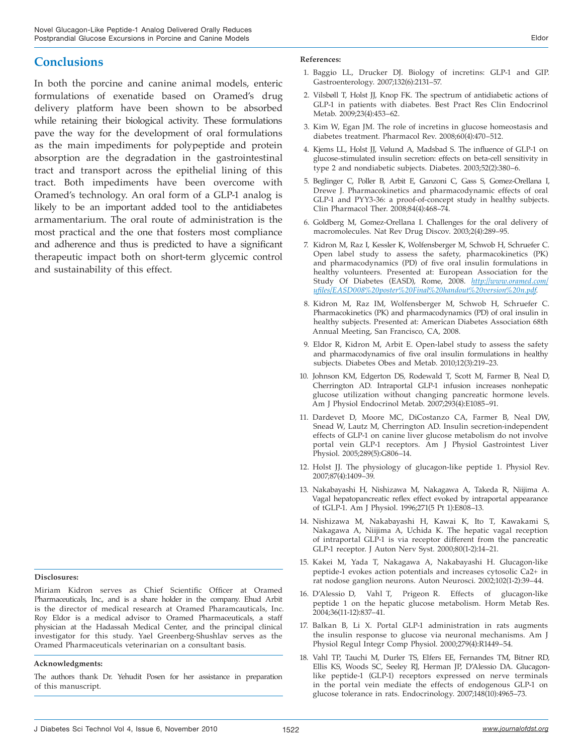## **Conclusions**

In both the porcine and canine animal models, enteric formulations of exenatide based on Oramed's drug delivery platform have been shown to be absorbed while retaining their biological activity. These formulations pave the way for the development of oral formulations as the main impediments for polypeptide and protein absorption are the degradation in the gastrointestinal tract and transport across the epithelial lining of this tract. Both impediments have been overcome with Oramed's technology. An oral form of a GLP-1 analog is likely to be an important added tool to the antidiabetes armamentarium. The oral route of administration is the most practical and the one that fosters most compliance and adherence and thus is predicted to have a significant therapeutic impact both on short-term glycemic control and sustainability of this effect.

#### **Disclosures:**

Miriam Kidron serves as Chief Scientific Officer at Oramed Pharmaceuticals, Inc., and is a share holder in the company. Ehud Arbit is the director of medical research at Oramed Pharamcauticals, Inc. Roy Eldor is a medical advisor to Oramed Pharmaceuticals, a staff physician at the Hadassah Medical Center, and the principal clinical investigator for this study. Yael Greenberg-Shushlav serves as the Oramed Pharmaceuticals veterinarian on a consultant basis.

#### **Acknowledgments:**

The authors thank Dr. Yehudit Posen for her assistance in preparation of this manuscript.

#### **References:**

- 1. Baggio LL, Drucker DJ. Biology of incretins: GLP-1 and GIP. Gastroenterology. 2007;132(6):2131–57.
- 2. Vilsbøll T, Holst JJ, Knop FK. The spectrum of antidiabetic actions of GLP-1 in patients with diabetes. Best Pract Res Clin Endocrinol Metab. 2009;23(4):453–62.
- 3. Kim W, Egan JM. The role of incretins in glucose homeostasis and diabetes treatment. Pharmacol Rev. 2008;60(4):470–512.
- 4. Kjems LL, Holst JJ, Vølund A, Madsbad S. The influence of GLP-1 on glucose-stimulated insulin secretion: effects on beta-cell sensitivity in type 2 and nondiabetic subjects. Diabetes. 2003;52(2):380–6.
- 5. Beglinger C, Poller B, Arbit E, Ganzoni C, Gass S, Gomez-Orellana I, Drewe J. Pharmacokinetics and pharmacodynamic effects of oral GLP-1 and PYY3-36: a proof-of-concept study in healthy subjects. Clin Pharmacol Ther. 2008;84(4):468–74.
- 6. Goldberg M, Gomez-Orellana I. Challenges for the oral delivery of macromolecules. Nat Rev Drug Discov. 2003;2(4):289–95.
- 7. Kidron M, Raz I, Kessler K, Wolfensberger M, Schwob H, Schruefer C. Open label study to assess the safety, pharmacokinetics (PK) and pharmacodynamics (PD) of five oral insulin formulations in healthy volunteers. Presented at: European Association for the Study Of Diabetes (EASD), Rome, 2008. *http://www.oramed.com/ ufiles/EASD008%20poster%20Final%20handout%20version%20n.pdf.*
- 8. Kidron M, Raz IM, Wolfensberger M, Schwob H, Schruefer C. Pharmacokinetics (PK) and pharmacodynamics (PD) of oral insulin in healthy subjects. Presented at: American Diabetes Association 68th Annual Meeting, San Francisco, CA, 2008.
- 9. Eldor R, Kidron M, Arbit E. Open-label study to assess the safety and pharmacodynamics of five oral insulin formulations in healthy subjects. Diabetes Obes and Metab. 2010;12(3):219–23.
- 10. Johnson KM, Edgerton DS, Rodewald T, Scott M, Farmer B, Neal D, Cherrington AD. Intraportal GLP-1 infusion increases nonhepatic glucose utilization without changing pancreatic hormone levels. Am J Physiol Endocrinol Metab. 2007;293(4):E1085–91.
- 11. Dardevet D, Moore MC, DiCostanzo CA, Farmer B, Neal DW, Snead W, Lautz M, Cherrington AD. Insulin secretion-independent effects of GLP-1 on canine liver glucose metabolism do not involve portal vein GLP-1 receptors. Am J Physiol Gastrointest Liver Physiol. 2005;289(5):G806–14.
- 12. Holst JJ. The physiology of glucagon-like peptide 1. Physiol Rev. 2007;87(4):1409–39.
- 13. Nakabayashi H, Nishizawa M, Nakagawa A, Takeda R, Niijima A. Vagal hepatopancreatic reflex effect evoked by intraportal appearance of tGLP-1. Am J Physiol. 1996;271(5 Pt 1):E808–13.
- 14. Nishizawa M, Nakabayashi H, Kawai K, Ito T, Kawakami S, Nakagawa A, Niijima A, Uchida K. The hepatic vagal reception of intraportal GLP-1 is via receptor different from the pancreatic GLP-1 receptor. J Auton Nerv Syst. 2000;80(1-2):14–21.
- 15. Kakei M, Yada T, Nakagawa A, Nakabayashi H. Glucagon-like peptide-1 evokes action potentials and increases cytosolic Ca2+ in rat nodose ganglion neurons. Auton Neurosci. 2002;102(1-2):39–44.
- 16. D'Alessio D, Vahl T, Prigeon R. Effects of glucagon-like peptide 1 on the hepatic glucose metabolism. Horm Metab Res. 2004;36(11-12):837–41.
- 17. Balkan B, Li X. Portal GLP-1 administration in rats augments the insulin response to glucose via neuronal mechanisms. Am J Physiol Regul Integr Comp Physiol. 2000;279(4):R1449–54.
- 18. Vahl TP, Tauchi M, Durler TS, Elfers EE, Fernandes TM, Bitner RD, Ellis KS, Woods SC, Seeley RJ, Herman JP, D'Alessio DA. Glucagonlike peptide-1 (GLP-1) receptors expressed on nerve terminals in the portal vein mediate the effects of endogenous GLP-1 on glucose tolerance in rats. Endocrinology. 2007;148(10):4965–73.